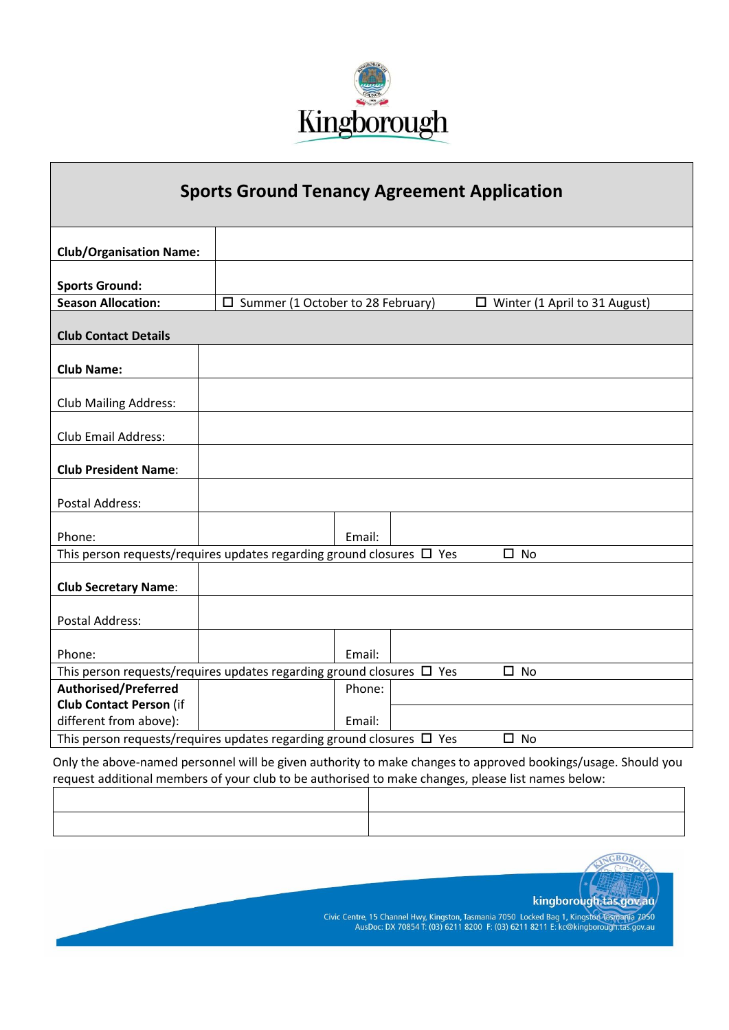

## **Sports Ground Tenancy Agreement Application**

| <b>Club/Organisation Name:</b>                                                               |                                                                            |        |  |                                      |  |  |  |
|----------------------------------------------------------------------------------------------|----------------------------------------------------------------------------|--------|--|--------------------------------------|--|--|--|
|                                                                                              |                                                                            |        |  |                                      |  |  |  |
| <b>Sports Ground:</b>                                                                        |                                                                            |        |  |                                      |  |  |  |
| <b>Season Allocation:</b>                                                                    | $\Box$ Summer (1 October to 28 February)                                   |        |  | $\Box$ Winter (1 April to 31 August) |  |  |  |
|                                                                                              |                                                                            |        |  |                                      |  |  |  |
| <b>Club Contact Details</b>                                                                  |                                                                            |        |  |                                      |  |  |  |
| <b>Club Name:</b>                                                                            |                                                                            |        |  |                                      |  |  |  |
|                                                                                              |                                                                            |        |  |                                      |  |  |  |
| <b>Club Mailing Address:</b>                                                                 |                                                                            |        |  |                                      |  |  |  |
|                                                                                              |                                                                            |        |  |                                      |  |  |  |
| <b>Club Email Address:</b>                                                                   |                                                                            |        |  |                                      |  |  |  |
|                                                                                              |                                                                            |        |  |                                      |  |  |  |
| <b>Club President Name:</b>                                                                  |                                                                            |        |  |                                      |  |  |  |
|                                                                                              |                                                                            |        |  |                                      |  |  |  |
| <b>Postal Address:</b>                                                                       |                                                                            |        |  |                                      |  |  |  |
|                                                                                              |                                                                            |        |  |                                      |  |  |  |
| Phone:                                                                                       |                                                                            | Email: |  |                                      |  |  |  |
|                                                                                              | This person requests/requires updates regarding ground closures $\Box$ Yes |        |  | $\Box$<br><b>No</b>                  |  |  |  |
|                                                                                              |                                                                            |        |  |                                      |  |  |  |
| <b>Club Secretary Name:</b>                                                                  |                                                                            |        |  |                                      |  |  |  |
|                                                                                              |                                                                            |        |  |                                      |  |  |  |
| <b>Postal Address:</b>                                                                       |                                                                            |        |  |                                      |  |  |  |
|                                                                                              |                                                                            |        |  |                                      |  |  |  |
| Phone:                                                                                       |                                                                            | Email: |  |                                      |  |  |  |
| This person requests/requires updates regarding ground closures $\Box$ Yes<br>□<br><b>No</b> |                                                                            |        |  |                                      |  |  |  |
| <b>Authorised/Preferred</b>                                                                  |                                                                            | Phone: |  |                                      |  |  |  |
| <b>Club Contact Person (if</b>                                                               |                                                                            |        |  |                                      |  |  |  |
| different from above):                                                                       |                                                                            | Email: |  |                                      |  |  |  |
|                                                                                              | This person requests/requires updates regarding ground closures $\Box$ Yes |        |  | $\square$ No                         |  |  |  |

Only the above-named personnel will be given authority to make changes to approved bookings/usage. Should you request additional members of your club to be authorised to make changes, please list names below:



kingborough.tas.gov.au Civic Centre, 15 Channel Hwy, Kingston, Tasmania 7050 Locked Bag 1, Kingston Tasmania 7050<br>AusDoc: DX 70854 T: (03) 6211 8200 F: (03) 6211 8211 E: kc@kingborough.tas.gov.au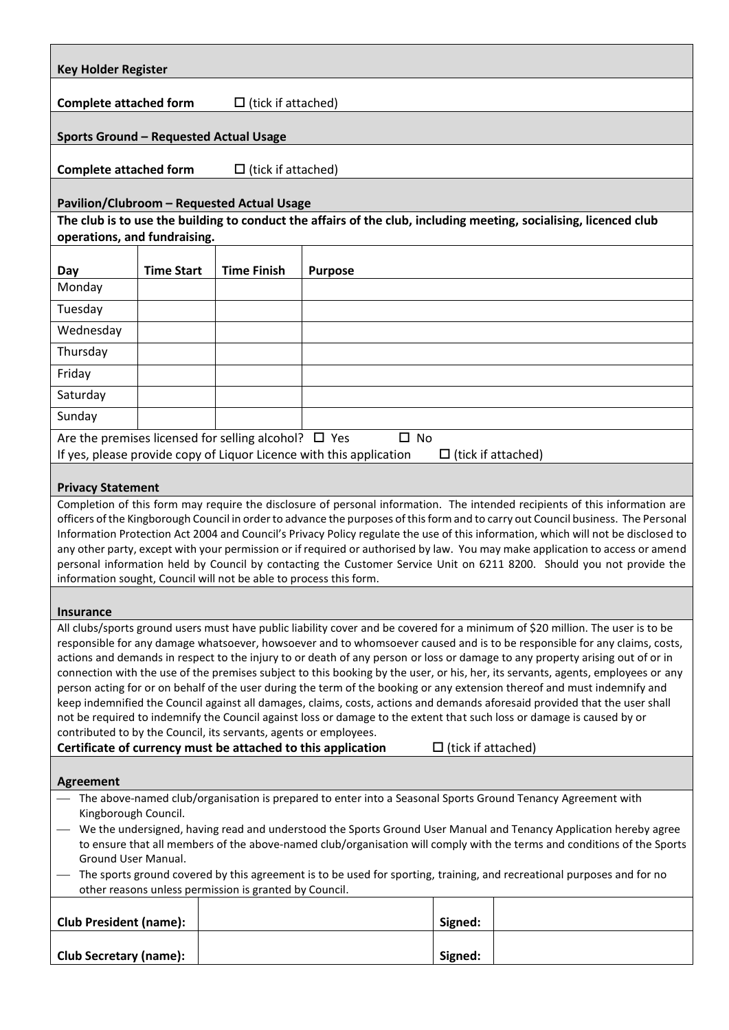| <b>Key Holder Register</b>                                                                                                                                                                                                                                    |                   |                                                           |                                                                                     |                           |                                                                                                                                                                                                                                                                  |  |  |  |
|---------------------------------------------------------------------------------------------------------------------------------------------------------------------------------------------------------------------------------------------------------------|-------------------|-----------------------------------------------------------|-------------------------------------------------------------------------------------|---------------------------|------------------------------------------------------------------------------------------------------------------------------------------------------------------------------------------------------------------------------------------------------------------|--|--|--|
| <b>Complete attached form</b>                                                                                                                                                                                                                                 |                   | $\Box$ (tick if attached)                                 |                                                                                     |                           |                                                                                                                                                                                                                                                                  |  |  |  |
| Sports Ground - Requested Actual Usage                                                                                                                                                                                                                        |                   |                                                           |                                                                                     |                           |                                                                                                                                                                                                                                                                  |  |  |  |
| <b>Complete attached form</b><br>$\Box$ (tick if attached)                                                                                                                                                                                                    |                   |                                                           |                                                                                     |                           |                                                                                                                                                                                                                                                                  |  |  |  |
| Pavilion/Clubroom - Requested Actual Usage                                                                                                                                                                                                                    |                   |                                                           |                                                                                     |                           |                                                                                                                                                                                                                                                                  |  |  |  |
|                                                                                                                                                                                                                                                               |                   |                                                           |                                                                                     |                           | The club is to use the building to conduct the affairs of the club, including meeting, socialising, licenced club                                                                                                                                                |  |  |  |
| operations, and fundraising.                                                                                                                                                                                                                                  |                   |                                                           |                                                                                     |                           |                                                                                                                                                                                                                                                                  |  |  |  |
| Day                                                                                                                                                                                                                                                           | <b>Time Start</b> | <b>Time Finish</b>                                        | <b>Purpose</b>                                                                      |                           |                                                                                                                                                                                                                                                                  |  |  |  |
| Monday                                                                                                                                                                                                                                                        |                   |                                                           |                                                                                     |                           |                                                                                                                                                                                                                                                                  |  |  |  |
| Tuesday                                                                                                                                                                                                                                                       |                   |                                                           |                                                                                     |                           |                                                                                                                                                                                                                                                                  |  |  |  |
| Wednesday                                                                                                                                                                                                                                                     |                   |                                                           |                                                                                     |                           |                                                                                                                                                                                                                                                                  |  |  |  |
| Thursday                                                                                                                                                                                                                                                      |                   |                                                           |                                                                                     |                           |                                                                                                                                                                                                                                                                  |  |  |  |
| Friday                                                                                                                                                                                                                                                        |                   |                                                           |                                                                                     |                           |                                                                                                                                                                                                                                                                  |  |  |  |
| Saturday                                                                                                                                                                                                                                                      |                   |                                                           |                                                                                     |                           |                                                                                                                                                                                                                                                                  |  |  |  |
| Sunday                                                                                                                                                                                                                                                        |                   |                                                           |                                                                                     |                           |                                                                                                                                                                                                                                                                  |  |  |  |
|                                                                                                                                                                                                                                                               |                   | Are the premises licensed for selling alcohol? $\Box$ Yes | $\square$ No<br>If yes, please provide copy of Liquor Licence with this application | $\Box$ (tick if attached) |                                                                                                                                                                                                                                                                  |  |  |  |
|                                                                                                                                                                                                                                                               |                   |                                                           |                                                                                     |                           |                                                                                                                                                                                                                                                                  |  |  |  |
| <b>Privacy Statement</b>                                                                                                                                                                                                                                      |                   |                                                           |                                                                                     |                           |                                                                                                                                                                                                                                                                  |  |  |  |
|                                                                                                                                                                                                                                                               |                   |                                                           |                                                                                     |                           | Completion of this form may require the disclosure of personal information. The intended recipients of this information are<br>officers of the Kingborough Council in order to advance the purposes of this form and to carry out Council business. The Personal |  |  |  |
|                                                                                                                                                                                                                                                               |                   |                                                           |                                                                                     |                           | Information Protection Act 2004 and Council's Privacy Policy regulate the use of this information, which will not be disclosed to                                                                                                                                |  |  |  |
|                                                                                                                                                                                                                                                               |                   |                                                           |                                                                                     |                           | any other party, except with your permission or if required or authorised by law. You may make application to access or amend                                                                                                                                    |  |  |  |
| personal information held by Council by contacting the Customer Service Unit on 6211 8200. Should you not provide the<br>information sought, Council will not be able to process this form.                                                                   |                   |                                                           |                                                                                     |                           |                                                                                                                                                                                                                                                                  |  |  |  |
|                                                                                                                                                                                                                                                               |                   |                                                           |                                                                                     |                           |                                                                                                                                                                                                                                                                  |  |  |  |
| <b>Insurance</b><br>All clubs/sports ground users must have public liability cover and be covered for a minimum of \$20 million. The user is to be                                                                                                            |                   |                                                           |                                                                                     |                           |                                                                                                                                                                                                                                                                  |  |  |  |
| responsible for any damage whatsoever, howsoever and to whomsoever caused and is to be responsible for any claims, costs,                                                                                                                                     |                   |                                                           |                                                                                     |                           |                                                                                                                                                                                                                                                                  |  |  |  |
| actions and demands in respect to the injury to or death of any person or loss or damage to any property arising out of or in                                                                                                                                 |                   |                                                           |                                                                                     |                           |                                                                                                                                                                                                                                                                  |  |  |  |
| connection with the use of the premises subject to this booking by the user, or his, her, its servants, agents, employees or any<br>person acting for or on behalf of the user during the term of the booking or any extension thereof and must indemnify and |                   |                                                           |                                                                                     |                           |                                                                                                                                                                                                                                                                  |  |  |  |
| keep indemnified the Council against all damages, claims, costs, actions and demands aforesaid provided that the user shall                                                                                                                                   |                   |                                                           |                                                                                     |                           |                                                                                                                                                                                                                                                                  |  |  |  |
| not be required to indemnify the Council against loss or damage to the extent that such loss or damage is caused by or<br>contributed to by the Council, its servants, agents or employees.                                                                   |                   |                                                           |                                                                                     |                           |                                                                                                                                                                                                                                                                  |  |  |  |
| Certificate of currency must be attached to this application<br>$\Box$ (tick if attached)                                                                                                                                                                     |                   |                                                           |                                                                                     |                           |                                                                                                                                                                                                                                                                  |  |  |  |
|                                                                                                                                                                                                                                                               |                   |                                                           |                                                                                     |                           |                                                                                                                                                                                                                                                                  |  |  |  |
| <b>Agreement</b><br>- The above-named club/organisation is prepared to enter into a Seasonal Sports Ground Tenancy Agreement with                                                                                                                             |                   |                                                           |                                                                                     |                           |                                                                                                                                                                                                                                                                  |  |  |  |
| Kingborough Council.                                                                                                                                                                                                                                          |                   |                                                           |                                                                                     |                           |                                                                                                                                                                                                                                                                  |  |  |  |
| We the undersigned, having read and understood the Sports Ground User Manual and Tenancy Application hereby agree                                                                                                                                             |                   |                                                           |                                                                                     |                           |                                                                                                                                                                                                                                                                  |  |  |  |
| to ensure that all members of the above-named club/organisation will comply with the terms and conditions of the Sports<br>Ground User Manual.                                                                                                                |                   |                                                           |                                                                                     |                           |                                                                                                                                                                                                                                                                  |  |  |  |
| - The sports ground covered by this agreement is to be used for sporting, training, and recreational purposes and for no<br>other reasons unless permission is granted by Council.                                                                            |                   |                                                           |                                                                                     |                           |                                                                                                                                                                                                                                                                  |  |  |  |
|                                                                                                                                                                                                                                                               |                   |                                                           |                                                                                     |                           |                                                                                                                                                                                                                                                                  |  |  |  |
| <b>Club President (name):</b>                                                                                                                                                                                                                                 |                   |                                                           |                                                                                     | Signed:                   |                                                                                                                                                                                                                                                                  |  |  |  |
| <b>Club Secretary (name):</b>                                                                                                                                                                                                                                 |                   |                                                           |                                                                                     | Signed:                   |                                                                                                                                                                                                                                                                  |  |  |  |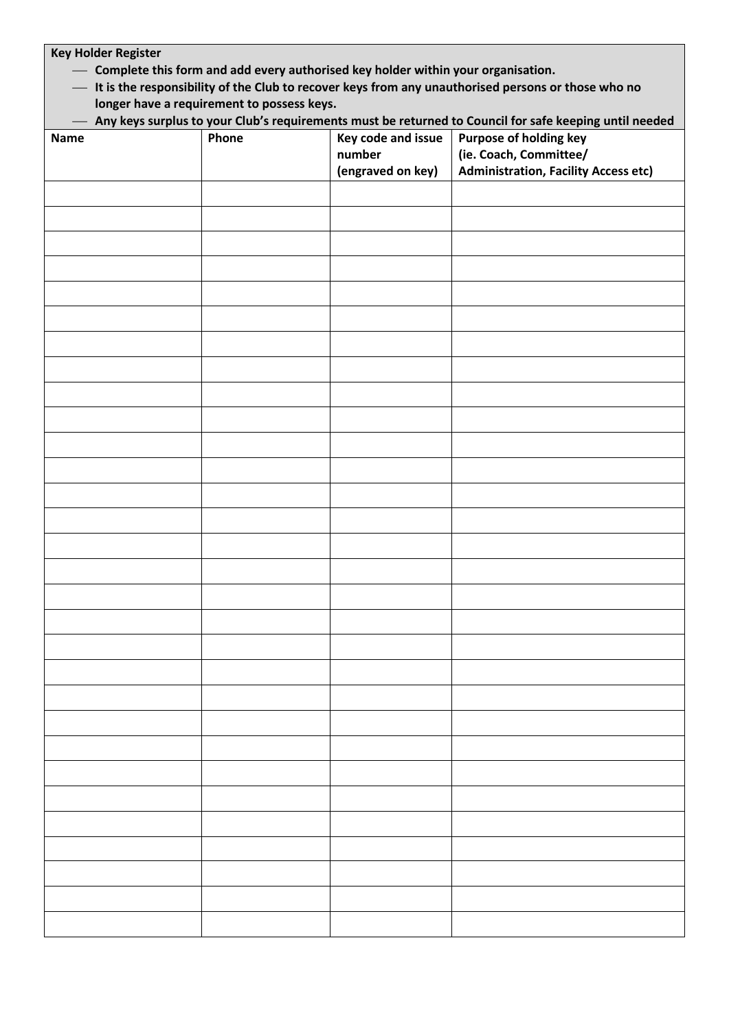| <b>Key Holder Register</b>                                                                                                                             |  |                   |                                             |  |  |  |  |  |  |
|--------------------------------------------------------------------------------------------------------------------------------------------------------|--|-------------------|---------------------------------------------|--|--|--|--|--|--|
| - Complete this form and add every authorised key holder within your organisation.                                                                     |  |                   |                                             |  |  |  |  |  |  |
| - It is the responsibility of the Club to recover keys from any unauthorised persons or those who no                                                   |  |                   |                                             |  |  |  |  |  |  |
| longer have a requirement to possess keys.<br>- Any keys surplus to your Club's requirements must be returned to Council for safe keeping until needed |  |                   |                                             |  |  |  |  |  |  |
| Phone<br>Key code and issue<br>Purpose of holding key<br><b>Name</b>                                                                                   |  |                   |                                             |  |  |  |  |  |  |
|                                                                                                                                                        |  | number            | (ie. Coach, Committee/                      |  |  |  |  |  |  |
|                                                                                                                                                        |  | (engraved on key) | <b>Administration, Facility Access etc)</b> |  |  |  |  |  |  |
|                                                                                                                                                        |  |                   |                                             |  |  |  |  |  |  |
|                                                                                                                                                        |  |                   |                                             |  |  |  |  |  |  |
|                                                                                                                                                        |  |                   |                                             |  |  |  |  |  |  |
|                                                                                                                                                        |  |                   |                                             |  |  |  |  |  |  |
|                                                                                                                                                        |  |                   |                                             |  |  |  |  |  |  |
|                                                                                                                                                        |  |                   |                                             |  |  |  |  |  |  |
|                                                                                                                                                        |  |                   |                                             |  |  |  |  |  |  |
|                                                                                                                                                        |  |                   |                                             |  |  |  |  |  |  |
|                                                                                                                                                        |  |                   |                                             |  |  |  |  |  |  |
|                                                                                                                                                        |  |                   |                                             |  |  |  |  |  |  |
|                                                                                                                                                        |  |                   |                                             |  |  |  |  |  |  |
|                                                                                                                                                        |  |                   |                                             |  |  |  |  |  |  |
|                                                                                                                                                        |  |                   |                                             |  |  |  |  |  |  |
|                                                                                                                                                        |  |                   |                                             |  |  |  |  |  |  |
|                                                                                                                                                        |  |                   |                                             |  |  |  |  |  |  |
|                                                                                                                                                        |  |                   |                                             |  |  |  |  |  |  |
|                                                                                                                                                        |  |                   |                                             |  |  |  |  |  |  |
|                                                                                                                                                        |  |                   |                                             |  |  |  |  |  |  |
|                                                                                                                                                        |  |                   |                                             |  |  |  |  |  |  |
|                                                                                                                                                        |  |                   |                                             |  |  |  |  |  |  |
|                                                                                                                                                        |  |                   |                                             |  |  |  |  |  |  |
|                                                                                                                                                        |  |                   |                                             |  |  |  |  |  |  |
|                                                                                                                                                        |  |                   |                                             |  |  |  |  |  |  |
|                                                                                                                                                        |  |                   |                                             |  |  |  |  |  |  |
|                                                                                                                                                        |  |                   |                                             |  |  |  |  |  |  |
|                                                                                                                                                        |  |                   |                                             |  |  |  |  |  |  |
|                                                                                                                                                        |  |                   |                                             |  |  |  |  |  |  |
|                                                                                                                                                        |  |                   |                                             |  |  |  |  |  |  |
|                                                                                                                                                        |  |                   |                                             |  |  |  |  |  |  |
|                                                                                                                                                        |  |                   |                                             |  |  |  |  |  |  |
|                                                                                                                                                        |  |                   |                                             |  |  |  |  |  |  |
|                                                                                                                                                        |  |                   |                                             |  |  |  |  |  |  |
|                                                                                                                                                        |  |                   |                                             |  |  |  |  |  |  |
|                                                                                                                                                        |  |                   |                                             |  |  |  |  |  |  |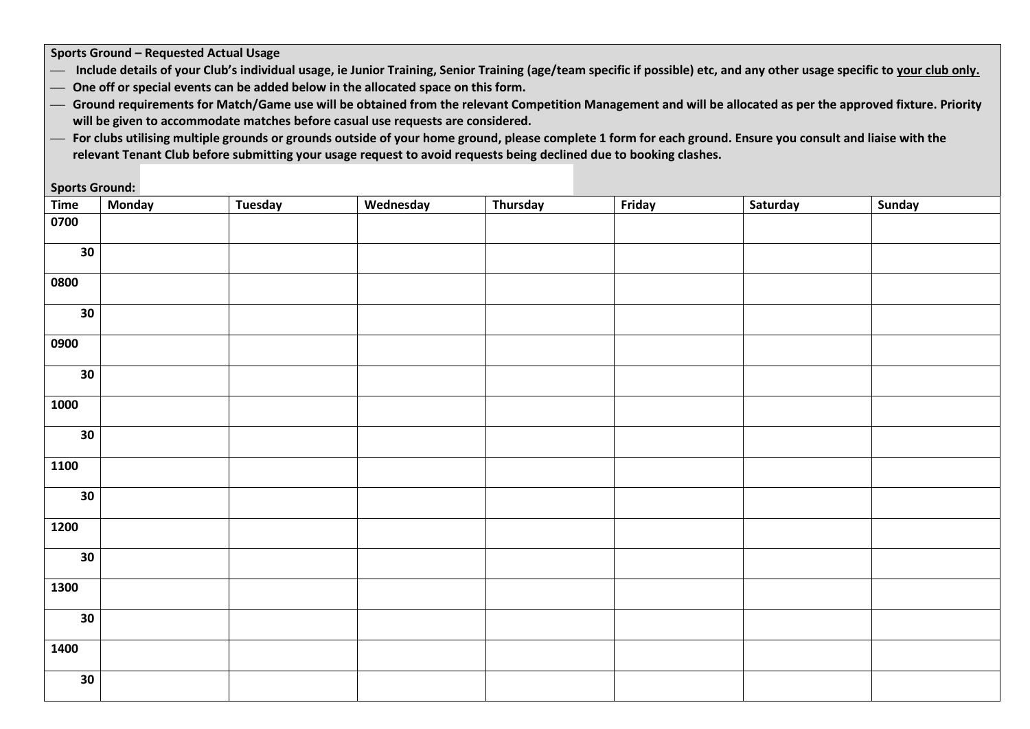**Sports Ground – Requested Actual Usage**

- Include details of your Club's individual usage, ie Junior Training, Senior Training (age/team specific if possible) etc, and any other usage specific to your club only.
- ⎯ **One off or special events can be added below in the allocated space on this form.**
- ⎯ **Ground requirements for Match/Game use will be obtained from the relevant Competition Management and will be allocated as per the approved fixture. Priority will be given to accommodate matches before casual use requests are considered.**
- ⎯ **For clubs utilising multiple grounds or grounds outside of your home ground, please complete 1 form for each ground. Ensure you consult and liaise with the relevant Tenant Club before submitting your usage request to avoid requests being declined due to booking clashes.**

**Sports Ground:**

| Time             | <b>Monday</b> | <b>Tuesday</b> | Wednesday | Thursday | Friday | Saturday | <b>Sunday</b> |
|------------------|---------------|----------------|-----------|----------|--------|----------|---------------|
| 0700             |               |                |           |          |        |          |               |
|                  |               |                |           |          |        |          |               |
| 30               |               |                |           |          |        |          |               |
| 0800             |               |                |           |          |        |          |               |
|                  |               |                |           |          |        |          |               |
| 30               |               |                |           |          |        |          |               |
| 0900             |               |                |           |          |        |          |               |
| $\overline{30}$  |               |                |           |          |        |          |               |
| 1000             |               |                |           |          |        |          |               |
| 30               |               |                |           |          |        |          |               |
| 1100             |               |                |           |          |        |          |               |
| 30               |               |                |           |          |        |          |               |
| $\frac{1}{1200}$ |               |                |           |          |        |          |               |
| 30               |               |                |           |          |        |          |               |
| 1300             |               |                |           |          |        |          |               |
| 30               |               |                |           |          |        |          |               |
| 1400             |               |                |           |          |        |          |               |
| $30\,$           |               |                |           |          |        |          |               |